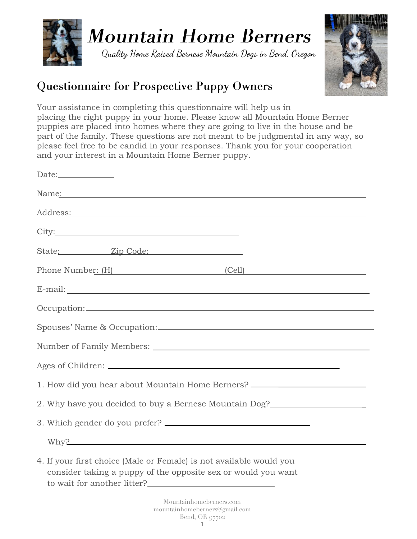

Quality Home Raised Bernese Mountain Dogs in Bend, Oregon



#### **Questionnaire for Prospective Puppy Owners**

Your assistance in completing this questionnaire will help us in placing the right puppy in your home. Please know all Mountain Home Berner puppies are placed into homes where they are going to live in the house and be part of the family. These questions are not meant to be judgmental in any way, so please feel free to be candid in your responses. Thank you for your cooperation and your interest in a Mountain Home Berner puppy.

| Name <u>:</u>                                                                                                                                                       |                                                                                  |
|---------------------------------------------------------------------------------------------------------------------------------------------------------------------|----------------------------------------------------------------------------------|
|                                                                                                                                                                     | Address: Address:                                                                |
|                                                                                                                                                                     |                                                                                  |
| State: <u>Zip Code:</u>                                                                                                                                             |                                                                                  |
|                                                                                                                                                                     | Phone Number: (H) (Cell)                                                         |
|                                                                                                                                                                     |                                                                                  |
|                                                                                                                                                                     |                                                                                  |
|                                                                                                                                                                     |                                                                                  |
|                                                                                                                                                                     |                                                                                  |
|                                                                                                                                                                     |                                                                                  |
|                                                                                                                                                                     | 1. How did you hear about Mountain Home Berners? _______________________________ |
|                                                                                                                                                                     | 2. Why have you decided to buy a Bernese Mountain Dog?                           |
|                                                                                                                                                                     |                                                                                  |
|                                                                                                                                                                     | Why?                                                                             |
| 4. If your first choice (Male or Female) is not available would you<br>consider taking a puppy of the opposite sex or would you want<br>to wait for another litter? |                                                                                  |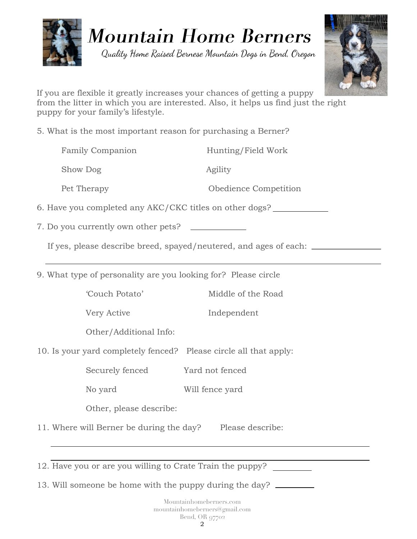

Quality Home Raised Bernese Mountain Dogs in Bend, Oregon



If you are flexible it greatly increases your chances of getting a puppy from the litter in which you are interested. Also, it helps us find just the right puppy for your family's lifestyle.

5. What is the most important reason for purchasing a Berner?

| <b>Family Companion</b>                                 | Hunting/Field Work    |
|---------------------------------------------------------|-----------------------|
| Show Dog                                                | Agility               |
| Pet Therapy                                             | Obedience Competition |
| 6. Have you completed any AKC/CKC titles on other dogs? |                       |
|                                                         |                       |

7. Do you currently own other pets?

If yes, please describe breed, spayed/neutered, and ages of each:

9. What type of personality are you looking for? Please circle

'Couch Potato' Middle of the Road

Very Active Independent

Other/Additional Info:

10. Is your yard completely fenced? Please circle all that apply:

Securely fenced Yard not fenced

No yard Will fence yard

Other, please describe:

11. Where will Berner be during the day? Please describe:

12. Have you or are you willing to Crate Train the puppy?

13. Will someone be home with the puppy during the day?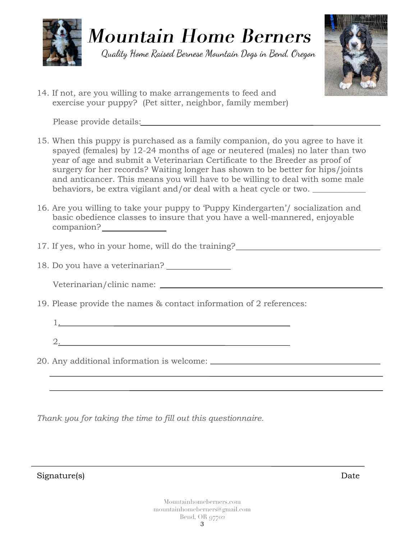

Quality Home Raised Bernese Mountain Dogs in Bend, Oregon



14. If not, are you willing to make arrangements to feed and exercise your puppy? (Pet sitter, neighbor, family member)

Please provide details:

- 15. When this puppy is purchased as a family companion, do you agree to have it spayed (females) by 12-24 months of age or neutered (males) no later than two year of age and submit a Veterinarian Certificate to the Breeder as proof of surgery for her records? Waiting longer has shown to be better for hips/joints and anticancer. This means you will have to be willing to deal with some male behaviors, be extra vigilant and/or deal with a heat cycle or two.
- 16. Are you willing to take your puppy to 'Puppy Kindergarten'/ socialization and basic obedience classes to insure that you have a well-mannered, enjoyable companion?
- 17. If yes, who in your home, will do the training?
- 18. Do you have a veterinarian?

| Veterinarian/clinic name: |  |  |  |  |
|---------------------------|--|--|--|--|
|---------------------------|--|--|--|--|

- 19. Please provide the names & contact information of 2 references:
	- 2.

1.

20. Any additional information is welcome:

*Thank you for taking the time to fill out this questionnaire.*

Signature(s) Date